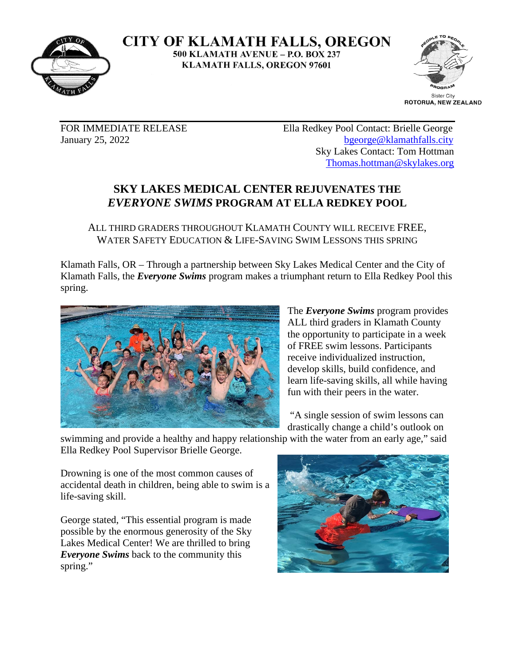

**CITY OF KLAMATH FALLS, OREGON 500 KLAMATH AVENUE - P.O. BOX 237 KLAMATH FALLS, OREGON 97601** 



FOR IMMEDIATE RELEASE Ella Redkey Pool Contact: Brielle George January 25, 2022 [bgeorge@klamathfalls.city](mailto:bgeorge@klamathfalls.city) Sky Lakes Contact: Tom Hottman [Thomas.hottman@skylakes.org](mailto:Thomas.hottman@skylakes.org)

## **SKY LAKES MEDICAL CENTER REJUVENATES THE**  *EVERYONE SWIMS* **PROGRAM AT ELLA REDKEY POOL**

ALL THIRD GRADERS THROUGHOUT KLAMATH COUNTY WILL RECEIVE FREE, WATER SAFETY EDUCATION & LIFE-SAVING SWIM LESSONS THIS SPRING

Klamath Falls, OR – Through a partnership between Sky Lakes Medical Center and the City of Klamath Falls, the *Everyone Swims* program makes a triumphant return to Ella Redkey Pool this spring.



The *Everyone Swims* program provides ALL third graders in Klamath County the opportunity to participate in a week of FREE swim lessons. Participants receive individualized instruction, develop skills, build confidence, and learn life-saving skills, all while having fun with their peers in the water.

"A single session of swim lessons can drastically change a child's outlook on

swimming and provide a healthy and happy relationship with the water from an early age," said Ella Redkey Pool Supervisor Brielle George.

Drowning is one of the most common causes of accidental death in children, being able to swim is a life-saving skill.

George stated, "This essential program is made possible by the enormous generosity of the Sky Lakes Medical Center! We are thrilled to bring *Everyone Swims* back to the community this spring."